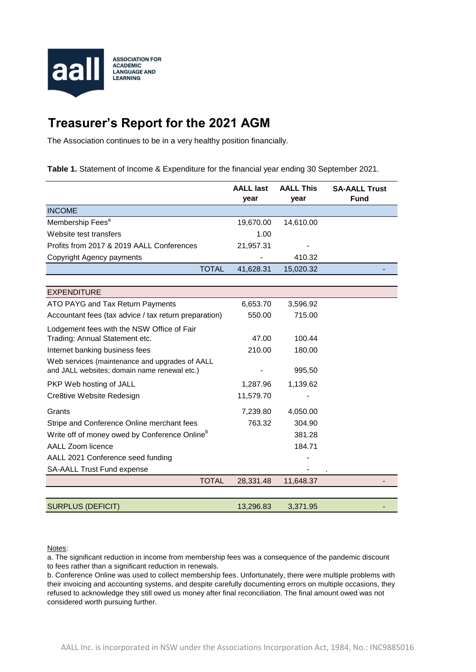

## **Treasurer's Report for the 2021 AGM**

The Association continues to be in a very healthy position financially.

**Table 1.** Statement of Income & Expenditure for the financial year ending 30 September 2021.

|                                                           | <b>AALL last</b><br>year | <b>AALL This</b><br>year | <b>SA-AALL Trust</b><br><b>Fund</b> |
|-----------------------------------------------------------|--------------------------|--------------------------|-------------------------------------|
| <b>INCOME</b>                                             |                          |                          |                                     |
| Membership Fees <sup>a</sup>                              | 19,670.00                | 14,610.00                |                                     |
| Website test transfers                                    | 1.00                     |                          |                                     |
| Profits from 2017 & 2019 AALL Conferences                 | 21,957.31                |                          |                                     |
| Copyright Agency payments                                 |                          | 410.32                   |                                     |
| <b>TOTAL</b>                                              | 41,628.31                | 15,020.32                |                                     |
|                                                           |                          |                          |                                     |
| <b>EXPENDITURE</b>                                        |                          |                          |                                     |
| ATO PAYG and Tax Return Payments                          | 6,653.70                 | 3,596.92                 |                                     |
| Accountant fees (tax advice / tax return preparation)     | 550.00                   | 715.00                   |                                     |
| Lodgement fees with the NSW Office of Fair                |                          |                          |                                     |
| Trading: Annual Statement etc.                            | 47.00                    | 100.44                   |                                     |
| Internet banking business fees                            | 210.00                   | 180.00                   |                                     |
| Web services (maintenance and upgrades of AALL            |                          |                          |                                     |
| and JALL websites; domain name renewal etc.)              |                          | 995.50                   |                                     |
| PKP Web hosting of JALL                                   | 1,287.96                 | 1,139.62                 |                                     |
| Cre8tive Website Redesign                                 | 11,579.70                |                          |                                     |
| Grants                                                    | 7,239.80                 | 4,050.00                 |                                     |
| Stripe and Conference Online merchant fees                | 763.32                   | 304.90                   |                                     |
| Write off of money owed by Conference Online <sup>b</sup> |                          | 381.28                   |                                     |
| <b>AALL Zoom licence</b>                                  |                          | 184.71                   |                                     |
| AALL 2021 Conference seed funding                         |                          |                          |                                     |
| SA-AALL Trust Fund expense                                |                          |                          |                                     |
| <b>TOTAL</b>                                              | 28,331.48                | 11,648.37                |                                     |
|                                                           |                          |                          |                                     |
| <b>SURPLUS (DEFICIT)</b>                                  | 13,296.83                | 3,371.95                 |                                     |

## Notes:

a. The significant reduction in income from membership fees was a consequence of the pandemic discount to fees rather than a significant reduction in renewals.

b. Conference Online was used to collect membership fees. Unfortunately, there were multiple problems with their invoicing and accounting systems, and despite carefully documenting errors on multiple occasions, they refused to acknowledge they still owed us money after final reconciliation. The final amount owed was not considered worth pursuing further.